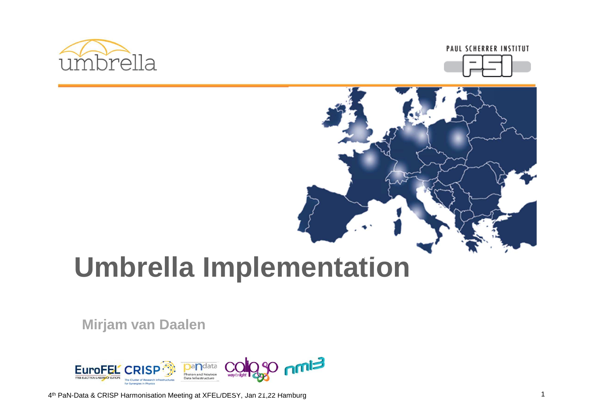





# **Umbrella Implementation**

**Mirjam van Daalen**



4th PaN-Data & CRISP Harmonisation Meeting at XFEL/DESY, Jan 21,22 Hamburg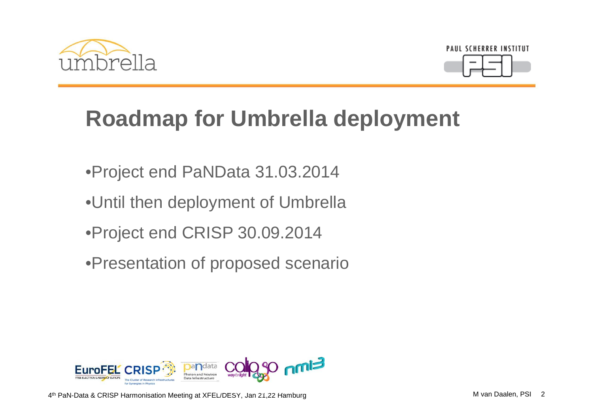



## **Roadmap for Umbrella deployment**

- •Project end PaNData 31.03.2014
- •Until then deployment of Umbrella
- •Project end CRISP 30.09.2014
- •Presentation of proposed scenario

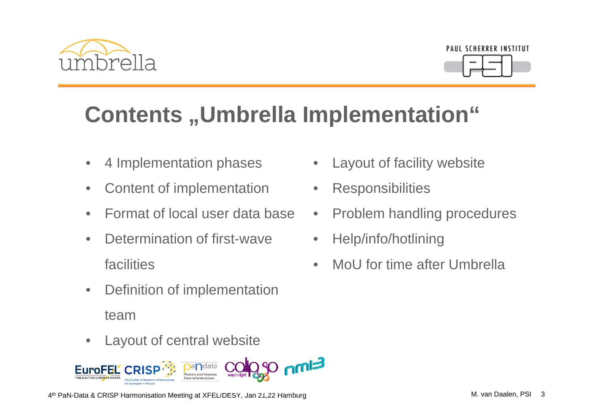



## **Contents "Umbrella Implementation"**

- $\bullet$ 4 Implementation phases
- $\bullet$ Content of implementation
- $\bullet$ Format of local user data base
- • Determination of first-wave facilities
- $\bullet$  Definition of implementation team
- $\bullet$ Layout of central website



- •Layout of facility website
- $\bullet$ **Responsibilities**
- $\bullet$ Problem handling procedures
- •Help/info/hotlining
- •MoU for time after Umbrella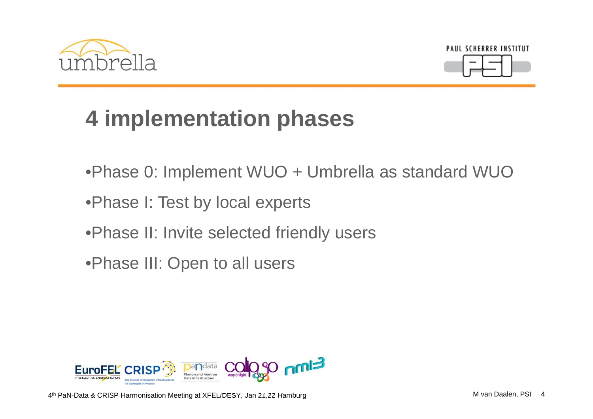



## **4 implementation phases**

- •Phase 0: Implement WUO + Umbrella as standard WUO
- •Phase I: Test by local experts
- •Phase II: Invite selected friendly users
- •Phase III: Open to all users

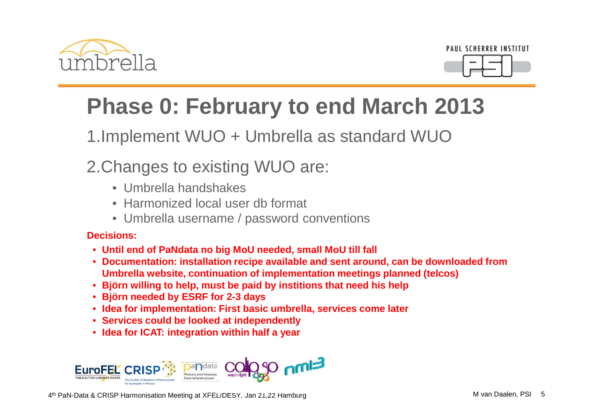



## **Phase 0: February to end March 2013**

1.Implement WUO + Umbrella as standard WUO

### 2.Changes to existing WUO are:

- Umbrella handshakes
- Harmonized local user db format
- Umbrella username / password conventions

#### **Decisions:**

- **Until end of PaNdata no big MoU needed, small MoU till fall**
- **Documentation: installation recipe available and sent around, can be downloaded from Umbrella website, continuation of implementation meetings planned (telcos)**
- **Björn willing to help, must be paid by institions that need his help**
- **Björn needed by ESRF for 2-3 days**
- **Idea for implementation: First basic umbrella, services come later**
- **Services could be looked at independently**
- **Idea for ICAT: integration within half a year**

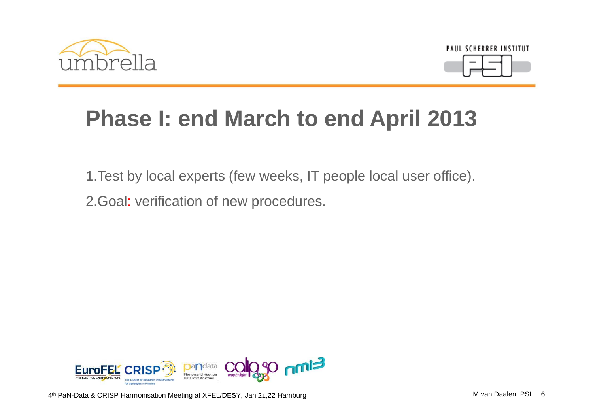



## **Phase I: end March to end April 2013**

1.Test by local experts (few weeks, IT people local user office).

2.Goal: verification of new procedures.

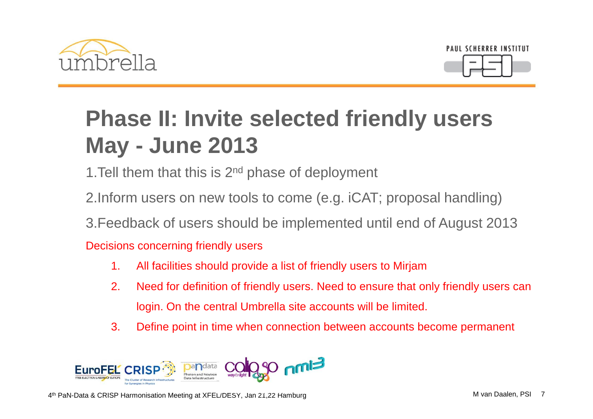



## **Phase II: Invite selected friendly users May - June 2013**

1.Tell them that this is 2<sup>nd</sup> phase of deployment

- 2.Inform users on new tools to come (e.g. iCAT; proposal handling)
- 3.Feedback of users should be implemented until end of August 2013

Decisions concerning friendly users

- 1. All facilities should provide a list of friendly users to Mirjam
- 2. Need for definition of friendly users. Need to ensure that only friendly users can login. On the central Umbrella site accounts will be limited.
- 3. Define point in time when connection between accounts become permanent

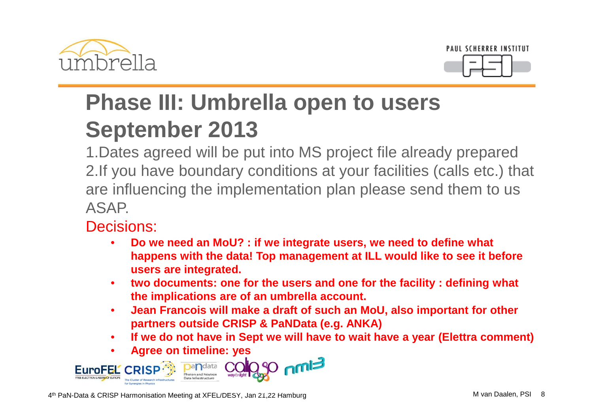



## **Phase III: Umbrella open to users September 2013**

 1.Dates agreed will be put into MS project file already prepared 2.If you have boundary conditions at your facilities (calls etc.) that are influencing the implementation plan please send them to us ASAP.

Decisions:

- • **Do we need an MoU? : if we integrate users, we need to define what happens with the data! Top management at ILL would like to see it before users are integrated.**
- • **two documents: one for the users and one for the facility : defining what the implications are of an umbrella account.**
- $\bullet$  **Jean Francois will make a draft of such an MoU, also important for other partners outside CRISP & PaNData (e.g. ANKA)**
- **If we do not have in Sept we will have to wait have a year (Elettra comment)** •
- •**Agree on timeline: yes**

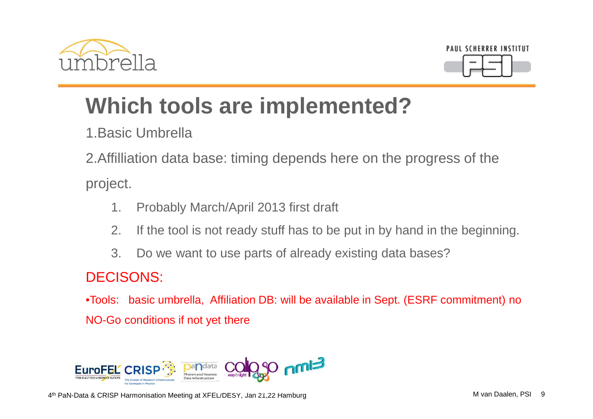



## **Which tools are implemented?**

1.Basic Umbrella

2.Affilliation data base: timing depends here on the progress of the

project.

- 1. Probably March/April 2013 first draft
- 2. If the tool is not ready stuff has to be put in by hand in the beginning.
- 3. Do we want to use parts of already existing data bases?

### DECISONS:

•Tools: basic umbrella, Affiliation DB: will be available in Sept. (ESRF commitment) no NO-Go conditions if not yet there

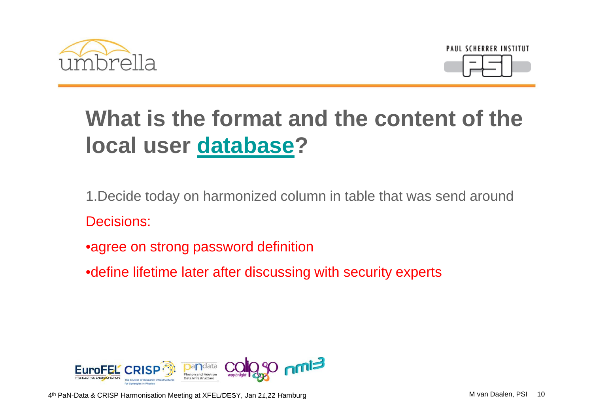



## **What is the format and the content of the local user database?**

1.Decide today on harmonized column in table that was send aroundDecisions:

- •agree on strong password definition
- •define lifetime later after discussing with security experts

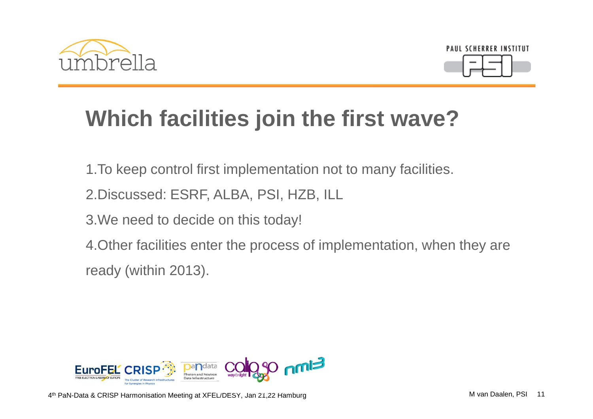



## **Which facilities join the first wave?**

1.To keep control first implementation not to many facilities.

2.Discussed: ESRF, ALBA, PSI, HZB, ILL

3.We need to decide on this today!

4.Other facilities enter the process of implementation, when they are ready (within 2013).

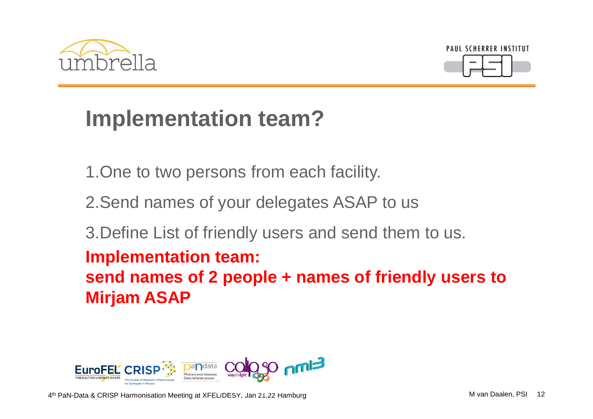



## **Implementation team?**

- 1.One to two persons from each facility.
- 2.Send names of your delegates ASAP to us
- 3.Define List of friendly users and send them to us.

**Implementation team:**

**send names of 2 people + names of friendly users toMirjam ASAP**

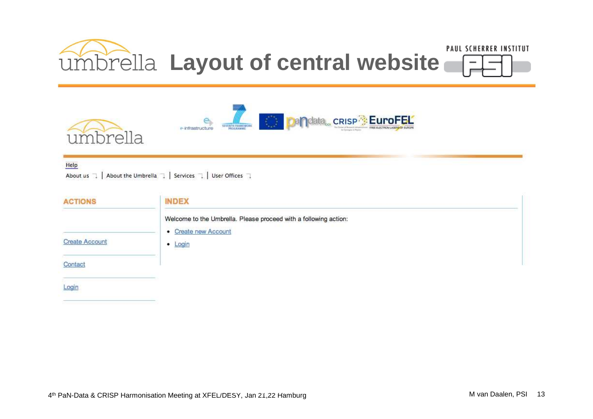## PAUL SCHERRER INSTITUT **Umbrella Layout of central website**

| umbrella              | <b>Dandata CRISP<sup>3</sup></b> EuroFEL<br>SEVENTH FRAME WORK<br>e-infrastructure                                    |  |
|-----------------------|-----------------------------------------------------------------------------------------------------------------------|--|
| Help                  | About us $\Box$   About the Umbrella $\Box$   Services $\Box$   User Offices $\Box$                                   |  |
| <b>ACTIONS</b>        | <b>INDEX</b>                                                                                                          |  |
| <b>Create Account</b> | Welcome to the Umbrella. Please proceed with a following action:<br><b>Create new Account</b><br>٠<br>$\bullet$ Login |  |
| Contact               |                                                                                                                       |  |
| Login                 |                                                                                                                       |  |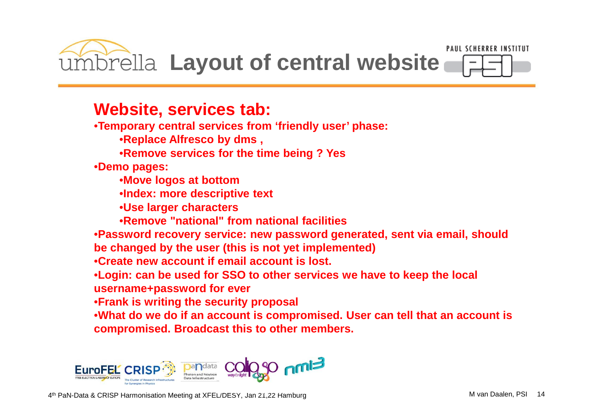

### **Website, services tab:**

•**Temporary central services from 'friendly user' phase:** 

•**Replace Alfresco by dms ,**

•**Remove services for the time being ? Yes**

•**Demo pages:** 

•**Move logos at bottom**

•**Index: more descriptive text**

•**Use larger characters**

•**Remove "national" from national facilities**

 •**Password recovery service: new password generated, sent via email, should be changed by the user (this is not yet implemented)**

•**Create new account if email account is lost.**

•**Login: can be used for SSO to other services we have to keep the local username+password for ever**

•**Frank is writing the security proposal**

•**What do we do if an account is compromised. User can tell that an account is compromised. Broadcast this to other members.**

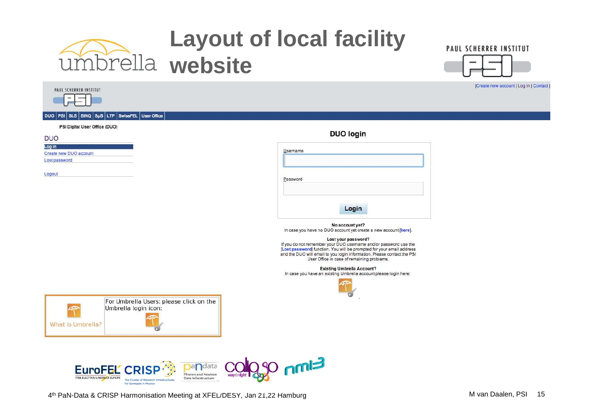## **Layout of local facility website**



#### DUO PSI SLS SINQ SuS LTP SwissFEL User Office

#### PSI Digital User Office (DUO)

| <b>DUO</b>             |  |
|------------------------|--|
| Log In                 |  |
| Create new DUO account |  |
| Lost password          |  |

Logout

**DUO** login

| Username |       |  |
|----------|-------|--|
|          |       |  |
| Password |       |  |
|          |       |  |
|          |       |  |
|          | Login |  |

No account yet? In case you have no DUO account yet create a new account [here].

#### Lost your password?

If you do not remember your DUO username and/or password use the [Lost password] function. You will be prompted for your email address and the DUO will email to you login information. Please contact the PSI User Office in case of remaining problems.

#### Existing Umbrella Account?

In case you have an existing Umbrella account please login here:







#### **PAUL SCHERRER INSTITUT**



[Create new account] Log In | Contact]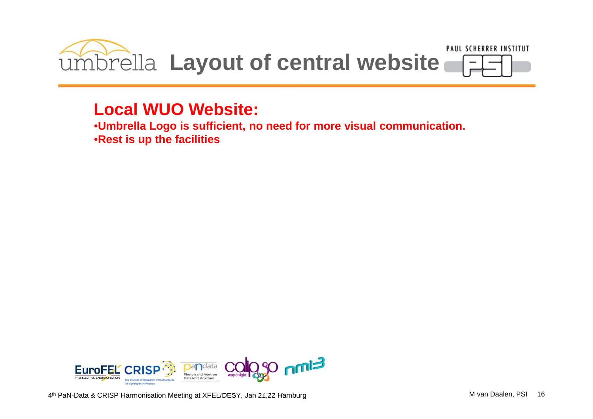

### **Local WUO Website:**

 •**Umbrella Logo is sufficient, no need for more visual communication.**•**Rest is up the facilities**

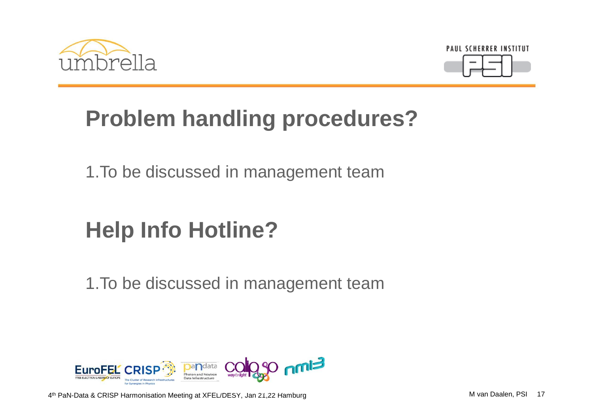



## **Problem handling procedures?**

1.To be discussed in management team

## **Help Info Hotline?**

1.To be discussed in management team



4th PaN-Data & CRISP Harmonisation Meeting at XFEL/DESY, Jan 21,22 Hamburg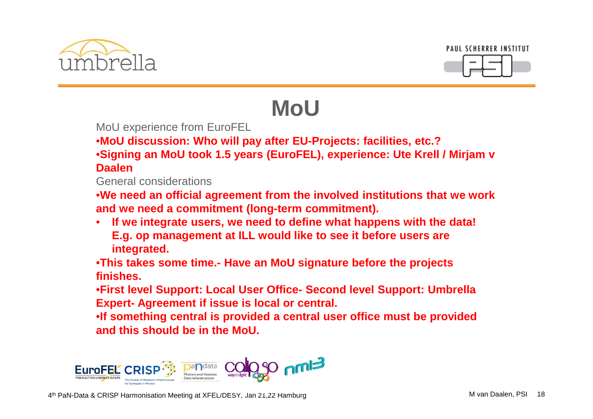



## **MoU**

MoU experience from EuroFEL

•**MoU discussion: Who will pay after EU-Projects: facilities, etc.?**

 •**Signing an MoU took 1.5 years (EuroFEL), experience: Ute Krell / Mirjam v Daalen**

General considerations

 •**We need an official agreement from the involved institutions that we work and we need a commitment (long-term commitment).** 

 $\bullet$  **If we integrate users, we need to define what happens with the data! E.g. op management at ILL would like to see it before users are integrated.**

•**This takes some time.- Have an MoU signature before the projects finishes.**

•**First level Support: Local User Office- Second level Support: Umbrella Expert- Agreement if issue is local or central.**

•**If something central is provided a central user office must be provided and this should be in the MoU.**

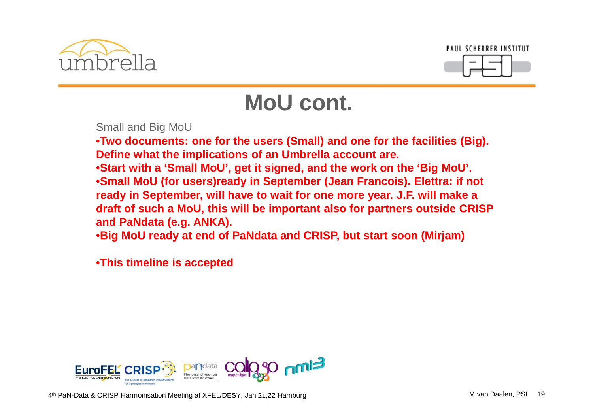



## **MoU cont.**

Small and Big MoU

 •**Two documents: one for the users (Small) and one for the facilities (Big). Define what the implications of an Umbrella account are.**

•**Start with a 'Small MoU', get it signed, and the work on the 'Big MoU'.**

•**Small MoU (for users)ready in September (Jean Francois). Elettra: if not ready in September, will have to wait for one more year. J.F. will make a draft of such a MoU, this will be important also for partners outside CRISP and PaNdata (e.g. ANKA).**

•**Big MoU ready at end of PaNdata and CRISP, but start soon (Mirjam)**

•**This timeline is accepted**